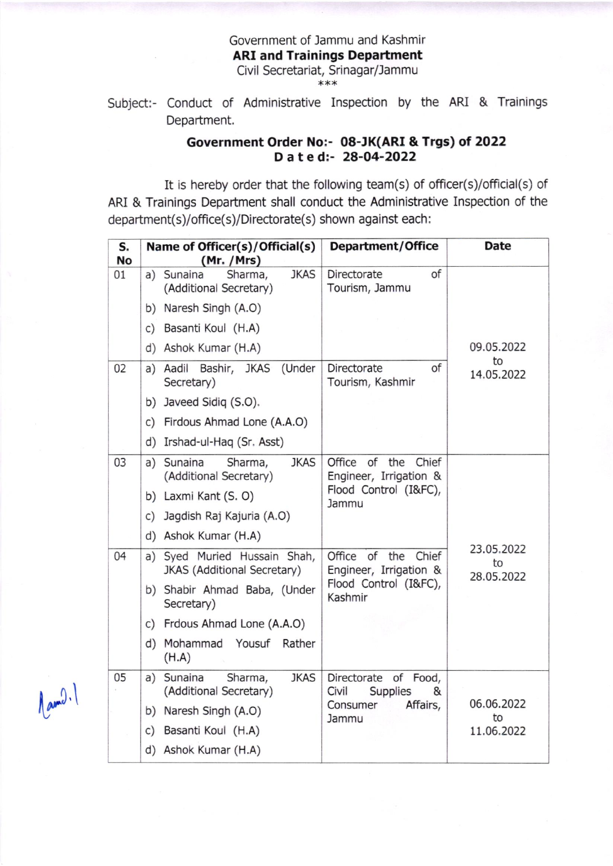## Government of lammu and Kashmir ARI and Trainings Department Civil Secretariat, Srinagar/Jammu \*\*\*

Subject:- Conduct of Administrative Inspection by the ARI & Trainings Department.

## Government Order No:- 08-JK(ARI & Trgs) ot 2O22 Dated: 28-04-2022

It is hereby order that the following team(s) of officer(s)/official(s) of ARI & Trainings Department shall conduct the Administrative Inspection of the department(s)/office(s)/Directorate(s) shown against each:

| S.<br><b>No</b> | Name of Officer(s)/Official(s)<br>(Mr. / Mrs)                     | <b>Department/Office</b>                                                                               | <b>Date</b>                    |
|-----------------|-------------------------------------------------------------------|--------------------------------------------------------------------------------------------------------|--------------------------------|
| 01              | <b>JKAS</b><br>a) Sunaina<br>Sharma,<br>(Additional Secretary)    | of<br>Directorate<br>Tourism, Jammu                                                                    |                                |
|                 | b) Naresh Singh (A.O)                                             |                                                                                                        |                                |
|                 | c) Basanti Koul (H.A)                                             |                                                                                                        |                                |
|                 | d) Ashok Kumar (H.A)                                              |                                                                                                        | 09.05.2022                     |
| 02              | Aadil<br>Bashir, JKAS<br>(Under<br>a)<br>Secretary)               | Directorate<br>of<br>Tourism, Kashmir                                                                  | to<br>14.05.2022               |
|                 | b) Javeed Sidiq (S.O).                                            |                                                                                                        |                                |
|                 | c) Firdous Ahmad Lone (A.A.O)                                     |                                                                                                        |                                |
|                 | d) Irshad-ul-Haq (Sr. Asst)                                       |                                                                                                        |                                |
| 03              | <b>JKAS</b><br>a) Sunaina<br>Sharma,<br>(Additional Secretary)    | Office<br>of<br>the<br>Chief<br>Engineer, Irrigation &<br>Flood Control (I&FC),<br>Jammu<br>23.05.2022 |                                |
|                 | b) Laxmi Kant (S. O)                                              |                                                                                                        |                                |
|                 | c) Jagdish Raj Kajuria (A.O)                                      |                                                                                                        |                                |
|                 | d) Ashok Kumar (H.A)                                              |                                                                                                        |                                |
| 04              | a) Syed Muried Hussain Shah,<br>JKAS (Additional Secretary)       | Office of the<br>Chief<br>Engineer, Irrigation &<br>Flood Control (I&FC),<br>Kashmir                   | to<br>28.05.2022               |
|                 | b) Shabir Ahmad Baba, (Under<br>Secretary)                        |                                                                                                        |                                |
|                 | c) Frdous Ahmad Lone (A.A.O)                                      |                                                                                                        |                                |
|                 | d) Mohammad Yousuf<br>Rather<br>(H.A)                             |                                                                                                        |                                |
| 05              | Sunaina<br><b>JKAS</b><br>Sharma,<br>a)<br>(Additional Secretary) | Directorate of<br>Food,<br>Civil<br><b>Supplies</b><br>&<br>Affairs,<br>Consumer<br>Jammu              | 06.06.2022<br>to<br>11.06.2022 |
|                 | b) Naresh Singh (A.O)                                             |                                                                                                        |                                |
|                 | Basanti Koul (H.A)<br>c)                                          |                                                                                                        |                                |
|                 | d) Ashok Kumar (H.A)                                              |                                                                                                        |                                |

 $\lfloor$ ami).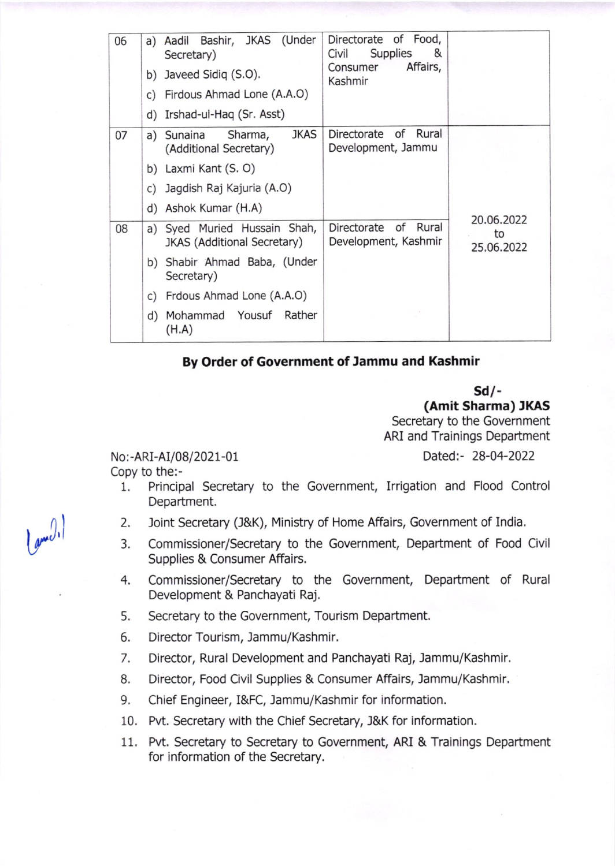| 06 | Bashir, JKAS (Under<br>Aadil<br>a)<br>Secretary)<br>b) Javeed Sidiq (S.O).<br>c) Firdous Ahmad Lone (A.A.O)<br>d) Irshad-ul-Haq (Sr. Asst)                                                   | Directorate of Food,<br>&<br>Supplies<br>Civil<br>Affairs,<br>Consumer<br>Kashmir |                                |
|----|----------------------------------------------------------------------------------------------------------------------------------------------------------------------------------------------|-----------------------------------------------------------------------------------|--------------------------------|
| 07 | <b>JKAS</b><br>Sharma,<br>a) Sunaina<br>(Additional Secretary)<br>b) Laxmi Kant (S. O)<br>c) Jagdish Raj Kajuria (A.O)<br>d) Ashok Kumar (H.A)                                               | of<br>Rural<br>Directorate<br>Development, Jammu                                  |                                |
| 08 | a) Syed Muried Hussain Shah,<br><b>JKAS (Additional Secretary)</b><br>b) Shabir Ahmad Baba, (Under<br>Secretary)<br>c) Frdous Ahmad Lone (A.A.O)<br>Rather<br>Mohammad Yousuf<br>d)<br>(H.A) | Rural<br>Directorate<br>of<br>Development, Kashmir                                | 20.06.2022<br>to<br>25.06.2022 |

## By Order of Government of Jammu and Kashmir

## sd/- (Amit Sharma) IKAS

Secretary to the Government ARI and Trainings Department

No:-ARI-AI/08/2021-01 Dated:- 28-04-2022<br>Copy to the:-

- 
- 1. Principal Secretary to the Government, Irrigation and Flood Control Department.
- 2. Joint Secretary (J&K), Ministry of Home Affairs, Government of India.
- 3. Commissioner/Secretary to the Government, Department of Food Civil Supplies & Consumer Affairs.
- 4. Commissioner/Secretary to the Government, Department of Rural Development & Panchayati Raj.
- 5. Secretary to the Government, Tourism Department,
- 6. Director Tourism, Jammu/Kashmir.
- 7. Director, Rural Development and Panchayati Raj, Jammu/Kashmir.
- 8. Director, Food Civil Supplies & Consumer Affairs, Jammu/Kashmir.
- 9. Chief Engineer, I&FC, Jammu/Kashmir for information.
- 10. Pvt. Secretary with the Chief Secretary, J&K for information.
- 11. Pvt. Secretary to Secretary to Government, ARI & Trainings Department for information of the Secretary,

l<sub>gw</sub>(),